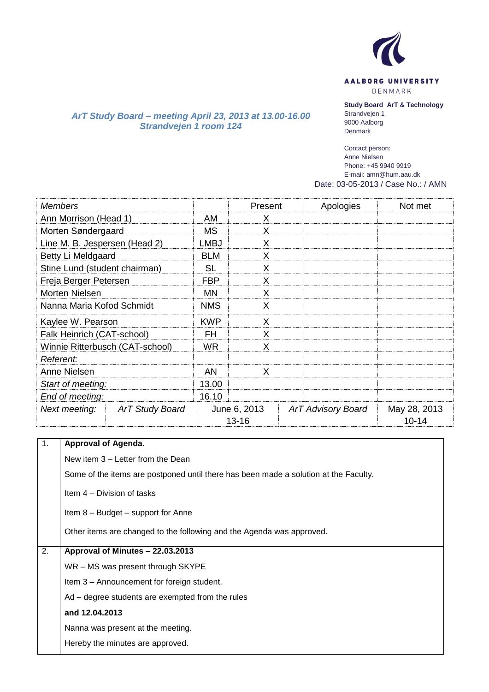

AALBORG UNIVERSITY

DENMARK

## **Study Board ArT & Technology**

*ArT Study Board – meeting April 23, 2013 at 13.00-16.00 Strandvejen 1 room 124*

Strandvejen 1 9000 Aalborg Denmark

Contact person: Anne Nielsen Phone: +45 9940 9919 E-mail: amn@hum.aau.dk Date: 03-05-2013 / Case No.: / AMN

| <b>Members</b>                  |                        |            | Present                   | Apologies                 | Not met                   |
|---------------------------------|------------------------|------------|---------------------------|---------------------------|---------------------------|
| Ann Morrison (Head 1)           | AM                     | X          |                           |                           |                           |
| Morten Søndergaard              |                        | <b>MS</b>  | X                         |                           |                           |
| Line M. B. Jespersen (Head 2)   |                        | LMBJ       | X                         |                           |                           |
| Betty Li Meldgaard              |                        | <b>BLM</b> | X                         |                           |                           |
| Stine Lund (student chairman)   |                        | <b>SL</b>  | X                         |                           |                           |
| Freja Berger Petersen           |                        | <b>FBP</b> | X                         |                           |                           |
| Morten Nielsen                  |                        | <b>MN</b>  | X                         |                           |                           |
| Nanna Maria Kofod Schmidt       |                        | <b>NMS</b> | X                         |                           |                           |
| Kaylee W. Pearson               |                        | <b>KWP</b> | X                         |                           |                           |
| Falk Heinrich (CAT-school)      |                        | <b>FH</b>  | X                         |                           |                           |
| Winnie Ritterbusch (CAT-school) |                        | <b>WR</b>  | X                         |                           |                           |
| Referent:                       |                        |            |                           |                           |                           |
| Anne Nielsen                    |                        | <b>AN</b>  | X                         |                           |                           |
| Start of meeting:               |                        | 13.00      |                           |                           |                           |
| End of meeting:                 |                        | 16.10      |                           |                           |                           |
| Next meeting:                   | <b>ArT Study Board</b> |            | June 6, 2013<br>$13 - 16$ | <b>ArT Advisory Board</b> | May 28, 2013<br>$10 - 14$ |

| 1. | <b>Approval of Agenda.</b>                                                           |
|----|--------------------------------------------------------------------------------------|
|    | New item 3 – Letter from the Dean                                                    |
|    | Some of the items are postponed until there has been made a solution at the Faculty. |
|    | Item 4 – Division of tasks                                                           |
|    | Item 8 – Budget – support for Anne                                                   |
|    | Other items are changed to the following and the Agenda was approved.                |
| 2. | Approval of Minutes - 22.03.2013                                                     |
|    | WR - MS was present through SKYPE                                                    |
|    | Item 3 – Announcement for foreign student.                                           |
|    | Ad – degree students are exempted from the rules                                     |
|    | and 12.04.2013                                                                       |
|    | Nanna was present at the meeting.                                                    |
|    | Hereby the minutes are approved.                                                     |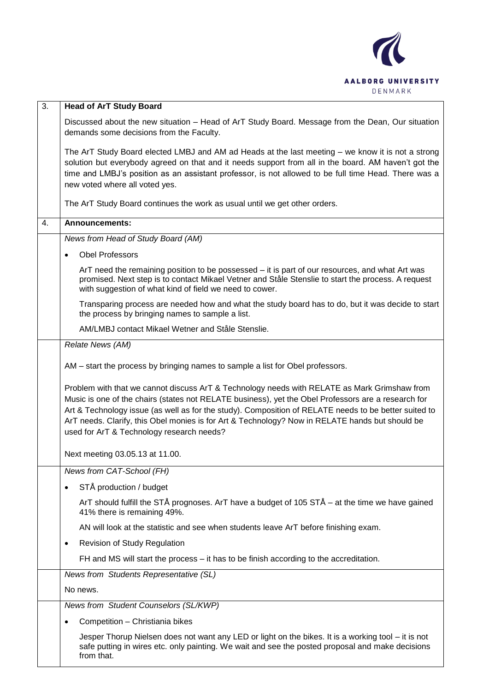

| $\overline{3}$ . | <b>Head of ArT Study Board</b>                                                                                                                                                                                                                                                                                                                                                                                                                               |
|------------------|--------------------------------------------------------------------------------------------------------------------------------------------------------------------------------------------------------------------------------------------------------------------------------------------------------------------------------------------------------------------------------------------------------------------------------------------------------------|
|                  | Discussed about the new situation - Head of ArT Study Board. Message from the Dean, Our situation<br>demands some decisions from the Faculty.                                                                                                                                                                                                                                                                                                                |
|                  | The ArT Study Board elected LMBJ and AM ad Heads at the last meeting - we know it is not a strong<br>solution but everybody agreed on that and it needs support from all in the board. AM haven't got the<br>time and LMBJ's position as an assistant professor, is not allowed to be full time Head. There was a<br>new voted where all voted yes.                                                                                                          |
|                  | The ArT Study Board continues the work as usual until we get other orders.                                                                                                                                                                                                                                                                                                                                                                                   |
| 4.               | <b>Announcements:</b>                                                                                                                                                                                                                                                                                                                                                                                                                                        |
|                  | News from Head of Study Board (AM)                                                                                                                                                                                                                                                                                                                                                                                                                           |
|                  | <b>Obel Professors</b>                                                                                                                                                                                                                                                                                                                                                                                                                                       |
|                  | ArT need the remaining position to be possessed – it is part of our resources, and what Art was<br>promised. Next step is to contact Mikael Vetner and Ståle Stenslie to start the process. A request<br>with suggestion of what kind of field we need to cower.                                                                                                                                                                                             |
|                  | Transparing process are needed how and what the study board has to do, but it was decide to start<br>the process by bringing names to sample a list.                                                                                                                                                                                                                                                                                                         |
|                  | AM/LMBJ contact Mikael Wetner and Ståle Stenslie.                                                                                                                                                                                                                                                                                                                                                                                                            |
|                  | Relate News (AM)                                                                                                                                                                                                                                                                                                                                                                                                                                             |
|                  | AM – start the process by bringing names to sample a list for Obel professors.                                                                                                                                                                                                                                                                                                                                                                               |
|                  | Problem with that we cannot discuss ArT & Technology needs with RELATE as Mark Grimshaw from<br>Music is one of the chairs (states not RELATE business), yet the Obel Professors are a research for<br>Art & Technology issue (as well as for the study). Composition of RELATE needs to be better suited to<br>ArT needs. Clarify, this Obel monies is for Art & Technology? Now in RELATE hands but should be<br>used for ArT & Technology research needs? |
|                  | Next meeting 03.05.13 at 11.00.                                                                                                                                                                                                                                                                                                                                                                                                                              |
|                  | News from CAT-School (FH)                                                                                                                                                                                                                                                                                                                                                                                                                                    |
|                  | STÅ production / budget<br>٠                                                                                                                                                                                                                                                                                                                                                                                                                                 |
|                  | ArT should fulfill the STÅ prognoses. ArT have a budget of 105 STÅ – at the time we have gained<br>41% there is remaining 49%.                                                                                                                                                                                                                                                                                                                               |
|                  | AN will look at the statistic and see when students leave ArT before finishing exam.                                                                                                                                                                                                                                                                                                                                                                         |
|                  | <b>Revision of Study Regulation</b><br>٠                                                                                                                                                                                                                                                                                                                                                                                                                     |
|                  | FH and MS will start the process – it has to be finish according to the accreditation.                                                                                                                                                                                                                                                                                                                                                                       |
|                  | News from Students Representative (SL)                                                                                                                                                                                                                                                                                                                                                                                                                       |
|                  | No news.                                                                                                                                                                                                                                                                                                                                                                                                                                                     |
|                  | News from Student Counselors (SL/KWP)                                                                                                                                                                                                                                                                                                                                                                                                                        |
|                  | Competition - Christiania bikes<br>٠                                                                                                                                                                                                                                                                                                                                                                                                                         |
|                  | Jesper Thorup Nielsen does not want any LED or light on the bikes. It is a working tool – it is not<br>safe putting in wires etc. only painting. We wait and see the posted proposal and make decisions<br>from that.                                                                                                                                                                                                                                        |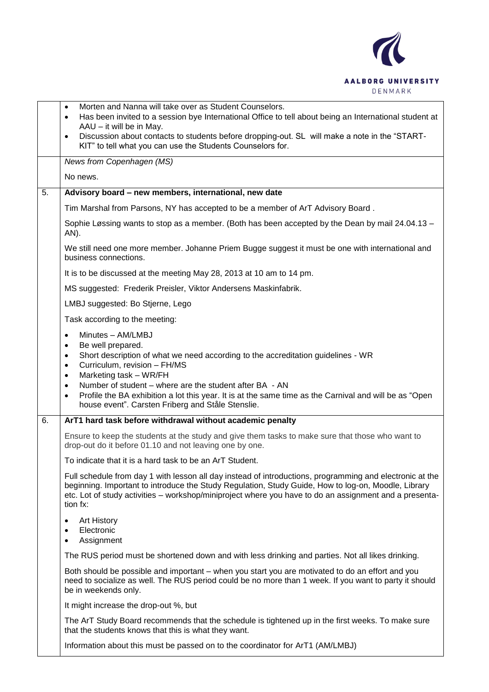

|    | Morten and Nanna will take over as Student Counselors.<br>$\bullet$<br>Has been invited to a session bye International Office to tell about being an International student at<br>$\bullet$<br>AAU - it will be in May.                                                                                                                |
|----|---------------------------------------------------------------------------------------------------------------------------------------------------------------------------------------------------------------------------------------------------------------------------------------------------------------------------------------|
|    | Discussion about contacts to students before dropping-out. SL will make a note in the "START-<br>$\bullet$<br>KIT" to tell what you can use the Students Counselors for.                                                                                                                                                              |
|    | News from Copenhagen (MS)                                                                                                                                                                                                                                                                                                             |
|    | No news.                                                                                                                                                                                                                                                                                                                              |
| 5. | Advisory board - new members, international, new date                                                                                                                                                                                                                                                                                 |
|    | Tim Marshal from Parsons, NY has accepted to be a member of ArT Advisory Board.                                                                                                                                                                                                                                                       |
|    | Sophie Løssing wants to stop as a member. (Both has been accepted by the Dean by mail 24.04.13 -<br>AN).                                                                                                                                                                                                                              |
|    | We still need one more member. Johanne Priem Bugge suggest it must be one with international and<br>business connections.                                                                                                                                                                                                             |
|    | It is to be discussed at the meeting May 28, 2013 at 10 am to 14 pm.                                                                                                                                                                                                                                                                  |
|    | MS suggested: Frederik Preisler, Viktor Andersens Maskinfabrik.                                                                                                                                                                                                                                                                       |
|    | LMBJ suggested: Bo Stjerne, Lego                                                                                                                                                                                                                                                                                                      |
|    | Task according to the meeting:                                                                                                                                                                                                                                                                                                        |
|    | Minutes - AM/LMBJ<br>$\bullet$<br>Be well prepared.<br>٠<br>Short description of what we need according to the accreditation guidelines - WR<br>٠<br>Curriculum, revision - FH/MS<br>٠<br>Marketing task - WR/FH<br>٠                                                                                                                 |
|    | Number of student – where are the student after BA - AN<br>٠<br>Profile the BA exhibition a lot this year. It is at the same time as the Carnival and will be as "Open<br>house event". Carsten Friberg and Ståle Stenslie.                                                                                                           |
| 6. | ArT1 hard task before withdrawal without academic penalty                                                                                                                                                                                                                                                                             |
|    | Ensure to keep the students at the study and give them tasks to make sure that those who want to<br>drop-out do it before 01.10 and not leaving one by one.                                                                                                                                                                           |
|    | To indicate that it is a hard task to be an ArT Student.                                                                                                                                                                                                                                                                              |
|    | Full schedule from day 1 with lesson all day instead of introductions, programming and electronic at the<br>beginning. Important to introduce the Study Regulation, Study Guide, How to log-on, Moodle, Library<br>etc. Lot of study activities - workshop/miniproject where you have to do an assignment and a presenta-<br>tion fx: |
|    | <b>Art History</b><br>٠<br>Electronic<br>$\bullet$<br>Assignment                                                                                                                                                                                                                                                                      |
|    | The RUS period must be shortened down and with less drinking and parties. Not all likes drinking.                                                                                                                                                                                                                                     |
|    | Both should be possible and important – when you start you are motivated to do an effort and you<br>need to socialize as well. The RUS period could be no more than 1 week. If you want to party it should<br>be in weekends only.                                                                                                    |
|    | It might increase the drop-out %, but                                                                                                                                                                                                                                                                                                 |
|    | The ArT Study Board recommends that the schedule is tightened up in the first weeks. To make sure<br>that the students knows that this is what they want.                                                                                                                                                                             |
|    | Information about this must be passed on to the coordinator for ArT1 (AM/LMBJ)                                                                                                                                                                                                                                                        |